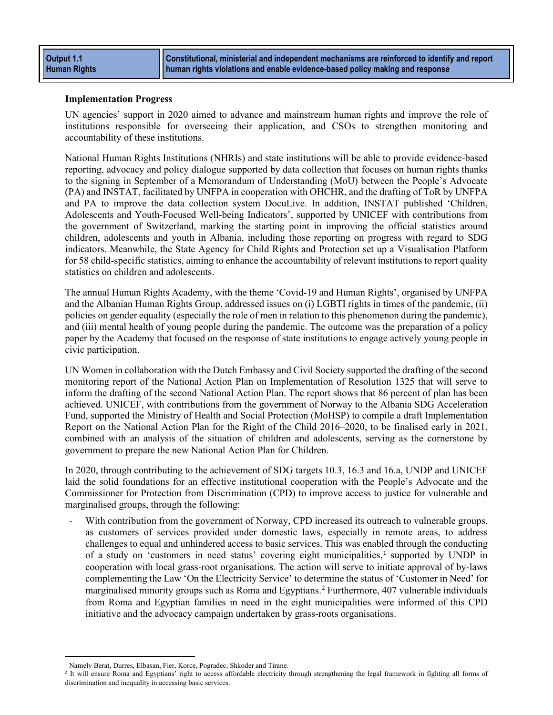**Constitutional, ministerial and independent mechanisms are reinforced to identify and report human rights violations and enable evidence-based policy making and response**

### **Implementation Progress**

UN agencies' support in 2020 aimed to advance and mainstream human rights and improve the role of institutions responsible for overseeing their application, and CSOs to strengthen monitoring and accountability of these institutions.

National Human Rights Institutions (NHRIs) and state institutions will be able to provide evidence-based reporting, advocacy and policy dialogue supported by data collection that focuses on human rights thanks to the signing in September of a Memorandum of Understanding (MoU) between the People's Advocate (PA) and INSTAT, facilitated by UNFPA in cooperation with OHCHR, and the drafting of ToR by UNFPA and PA to improve the data collection system DocuLive. In addition, INSTAT published ['Children,](http://www.instat.gov.al/en/publications/books/2020/children-adolescents-and-youth-focused-wellbeing-indicators-data-from-2016-2018/)  [Adolescents and Youth-Focused Well-being Indicators',](http://www.instat.gov.al/en/publications/books/2020/children-adolescents-and-youth-focused-wellbeing-indicators-data-from-2016-2018/) supported by UNICEF with contributions from the government of Switzerland, marking the starting point in improving the official statistics around children, adolescents and youth in Albania, including those reporting on progress with regard to SDG indicators. Meanwhile, the State Agency for Child Rights and Protection set up a [Visualisation Platform](https://ictsolutions.co/statistikafemijet/index.php#treguesit)  [for 58 child-specific statistics,](https://ictsolutions.co/statistikafemijet/index.php#treguesit) aiming to enhance the accountability of relevant institutions to report quality statistics on children and adolescents.

The annual Human Rights Academy, with the theme 'Covid-19 and Human Rights', organised by UNFPA and the Albanian Human Rights Group, addressed issues on (i) LGBTI rights in times of the pandemic, (ii) policies on gender equality (especially the role of men in relation to this phenomenon during the pandemic), and (iii) mental health of young people during the pandemic. The outcome was the preparation of a policy paper by the Academy that focused on the response of state institutions to engage actively young people in civic participation.

UN Women in collaboration with the Dutch Embassy and Civil Society supported the drafting of the second monitoring report of the National Action Plan on Implementation of Resolution 1325 that will serve to inform the drafting of the second National Action Plan. The report shows that 86 percent of plan has been achieved. UNICEF, with contributions from the government of Norway to the Albania SDG Acceleration Fund, supported the Ministry of Health and Social Protection (MoHSP) to compile a draft Implementation Report on the National Action Plan for the Right of the Child 2016–2020, to be finalised early in 2021, combined with an analysis of the situation of children and adolescents, serving as the cornerstone by government to prepare the new National Action Plan for Children.

In 2020, through contributing to the achievement of SDG targets 10.3, 16.3 and 16.a, UNDP and UNICEF laid the solid foundations for an effective institutional cooperation with the People's Advocate and the Commissioner for Protection from Discrimination (CPD) to improve access to justice for vulnerable and marginalised groups, through the following:

With contribution from the government of Norway, CPD increased its outreach to vulnerable groups, as customers of services provided under domestic laws, especially in remote areas, to address challenges to equal and unhindered access to basic services. This was enabled through the conducting of a study on 'customers in need status' covering eight municipalities,<sup>[1](#page-0-0)</sup> supported by UNDP in cooperation with local grass-root organisations. The action will serve to initiate approval of by-laws complementing the Law 'On the Electricity Service' to determine the status of 'Customer in Need' for marginalised minority groups such as Roma and Egyptians.<sup>[2](#page-0-1)</sup> Furthermore, 407 vulnerable individuals from Roma and Egyptian families in need in the eight municipalities were informed of this CPD initiative and the advocacy campaign undertaken by grass-roots organisations.

<sup>&</sup>lt;sup>1</sup> Namely Berat, Durres, Elbasan, Fier, Korce, Pogradec, Shkoder and Tirane.

<span id="page-0-1"></span><span id="page-0-0"></span><sup>&</sup>lt;sup>2</sup> It will ensure Roma and Egyptians' right to access affordable electricity through strengthening the legal framework in fighting all forms of discrimination and inequality in accessing basic services.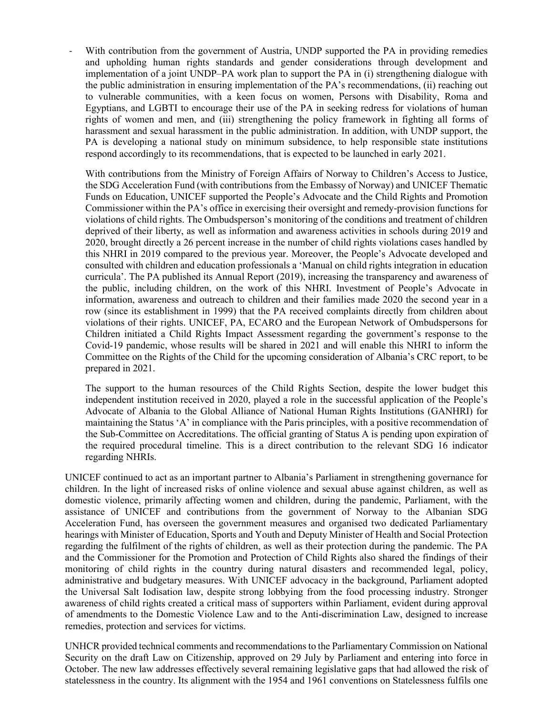With contribution from the government of Austria, UNDP supported the PA in providing remedies and upholding human rights standards and gender considerations through development and implementation of a joint UNDP–PA work plan to support the PA in (i) strengthening dialogue with the public administration in ensuring implementation of the PA's recommendations, (ii) reaching out to vulnerable communities, with a keen focus on women, Persons with Disability, Roma and Egyptians, and LGBTI to encourage their use of the PA in seeking redress for violations of human rights of women and men, and (iii) strengthening the policy framework in fighting all forms of harassment and sexual harassment in the public administration. In addition, with UNDP support, the PA is developing a national study on minimum subsidence, to help responsible state institutions respond accordingly to its recommendations, that is expected to be launched in early 2021.

With contributions from the Ministry of Foreign Affairs of Norway to Children's Access to Justice, the SDG Acceleration Fund (with contributions from the Embassy of Norway) and UNICEF Thematic Funds on Education, UNICEF supported the People's Advocate and the Child Rights and Promotion Commissioner within the PA's office in exercising their oversight and remedy-provision functions for violations of child rights. The Ombudsperson's monitoring of the conditions and treatment of children deprived of their liberty, as well as information and awareness activities in schools during 2019 and 2020, brought directly a 26 percent increase in the number of child rights violations cases handled by this NHRI in 2019 compared to the previous year. Moreover, the People's Advocate developed and consulted with children and education professionals a 'Manual on child rights integration in education curricula'. The PA published its Annual Report (2019), increasing the transparency and awareness of the public, including children, on the work of this NHRI. Investment of People's Advocate in information, awareness and outreach to children and their families made 2020 the second year in a row (since its establishment in 1999) that the PA received complaints directly from children about violations of their rights. UNICEF, PA, ECARO and the European Network of Ombudspersons for Children initiated a Child Rights Impact Assessment regarding the government's response to the Covid-19 pandemic, whose results will be shared in 2021 and will enable this NHRI to inform the Committee on the Rights of the Child for the upcoming consideration of Albania's CRC report, to be prepared in 2021.

The support to the human resources of the Child Rights Section, despite the lower budget this independent institution received in 2020, played a role in the successful application of the People's Advocate of Albania to the Global Alliance of National Human Rights Institutions (GANHRI) for maintaining the Status 'A' in compliance with the Paris principles, with a positive recommendation of the Sub-Committee on Accreditations. The official granting of Status A is pending upon expiration of the required procedural timeline. This is a direct contribution to the relevant SDG 16 indicator regarding NHRIs.

UNICEF continued to act as an important partner to Albania's Parliament in strengthening governance for children. In the light of increased risks of online violence and sexual abuse against children, as well as domestic violence, primarily affecting women and children, during the pandemic, Parliament, with the assistance of UNICEF and contributions from the government of Norway to the Albanian SDG Acceleration Fund, has overseen the government measures and organised two dedicated Parliamentary hearings with Minister of Education, Sports and Youth and Deputy Minister of Health and Social Protection regarding the fulfilment of the rights of children, as well as their protection during the pandemic. The PA and the Commissioner for the Promotion and Protection of Child Rights also shared the findings of their monitoring of child rights in the country during natural disasters and recommended legal, policy, administrative and budgetary measures. With UNICEF advocacy in the background, Parliament adopted the Universal Salt Iodisation law, despite strong lobbying from the food processing industry. Stronger awareness of child rights created a critical mass of supporters within Parliament, evident during approval of amendments to the Domestic Violence Law and to the Anti-discrimination Law, designed to increase remedies, protection and services for victims.

UNHCR provided technical comments and recommendations to the Parliamentary Commission on National Security on the draft Law on Citizenship, approved on 29 July by Parliament and entering into force in October. The new law addresses effectively several remaining legislative gaps that had allowed the risk of statelessness in the country. Its alignment with the 1954 and 1961 conventions on Statelessness fulfils one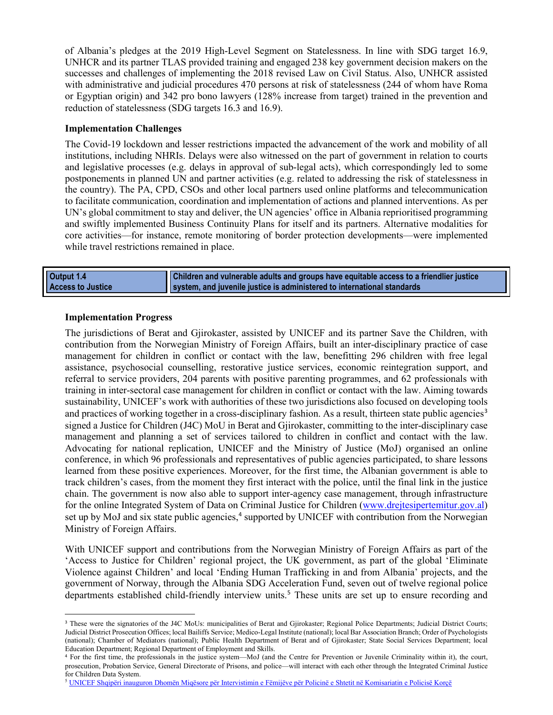of Albania's pledges at the 2019 High-Level Segment on Statelessness. In line with SDG target 16.9, UNHCR and its partner TLAS provided training and engaged 238 key government decision makers on the successes and challenges of implementing the 2018 revised Law on Civil Status. Also, UNHCR assisted with administrative and judicial procedures 470 persons at risk of statelessness (244 of whom have Roma or Egyptian origin) and 342 pro bono lawyers (128% increase from target) trained in the prevention and reduction of statelessness (SDG targets 16.3 and 16.9).

# **Implementation Challenges**

The Covid-19 lockdown and lesser restrictions impacted the advancement of the work and mobility of all institutions, including NHRIs. Delays were also witnessed on the part of government in relation to courts and legislative processes (e.g. delays in approval of sub-legal acts), which correspondingly led to some postponements in planned UN and partner activities (e.g. related to addressing the risk of statelessness in the country). The PA, CPD, CSOs and other local partners used online platforms and telecommunication to facilitate communication, coordination and implementation of actions and planned interventions. As per UN's global commitment to stay and deliver, the UN agencies' office in Albania reprioritised programming and swiftly implemented Business Continuity Plans for itself and its partners. Alternative modalities for core activities—for instance, remote monitoring of border protection developments—were implemented while travel restrictions remained in place.

**Output 1.4 Access to Justice Children and vulnerable adults and groups have equitable access to a friendlier justice system, and juvenile justice is administered to international standards**

# **Implementation Progress**

The jurisdictions of Berat and Gjirokaster, assisted by UNICEF and its partner Save the Children, with contribution from the Norwegian Ministry of Foreign Affairs, built an inter-disciplinary practice of case management for children in conflict or contact with the law, benefitting 296 children with free legal assistance, psychosocial counselling, restorative justice services, economic reintegration support, and referral to service providers, 204 parents with positive parenting programmes, and 62 professionals with training in inter-sectoral case management for children in conflict or contact with the law. Aiming towards sustainability, UNICEF's work with authorities of these two jurisdictions also focused on developing tools and practices of working together in a cross-disciplinary fashion. As a result, thirteen state public agencies<sup>[3](#page-2-0)</sup> signed a Justice for Children (J4C) MoU in Berat and Gjirokaster, committing to the inter-disciplinary case management and planning a set of services tailored to children in conflict and contact with the law. Advocating for national replication, UNICEF and the Ministry of Justice (MoJ) organised an online conference, in which 96 professionals and representatives of public agencies participated, to share lessons learned from these positive experiences. Moreover, for the first time, the Albanian government is able to track children's cases, from the moment they first interact with the police, until the final link in the justice chain. The government is now also able to support inter-agency case management, through infrastructure for the online Integrated System of Data on Criminal Justice for Children [\(www.drejtesipertemitur.gov.al\)](http://www.drejtesipertemitur.gov.al/) set up by MoJ and six state public agencies,<sup>[4](#page-2-1)</sup> supported by UNICEF with contribution from the Norwegian Ministry of Foreign Affairs.

With UNICEF support and contributions from the Norwegian Ministry of Foreign Affairs as part of the 'Access to Justice for Children' regional project, the UK government, as part of the global 'Eliminate Violence against Children' and local 'Ending Human Trafficking in and from Albania' projects, and the government of Norway, through the Albania SDG Acceleration Fund, seven out of twelve regional police departments established child-friendly interview units. [5](#page-2-2) These units are set up to ensure recording and

<span id="page-2-0"></span><sup>&</sup>lt;sup>3</sup> These were the signatories of the J4C MoUs: municipalities of Berat and Gjirokaster; Regional Police Departments; Judicial District Courts; Judicial District Prosecution Offices; local Bailiffs Service; Medico-Legal Institute (national); local Bar Association Branch; Order of Psychologists (national); Chamber of Mediators (national); Public Health Department of Berat and of Gjirokaster; State Social Services Department; local Education Department; Regional Department of Employment and Skills.

<span id="page-2-1"></span><sup>4</sup> For the first time, the professionals in the justice system—MoJ (and the Centre for Prevention or Juvenile Criminality within it), the court, prosecution, Probation Service, General Directorate of Prisons, and police—will interact with each other through the Integrated Criminal Justice for Children Data System.

<span id="page-2-2"></span><sup>&</sup>lt;sup>5</sup> UNICEF Shqipëri inauguron Dhomën Miqësore për Intervistimin e Fëmijëve për Policinë e Shtetit në Komisariatin e Policisë Korcë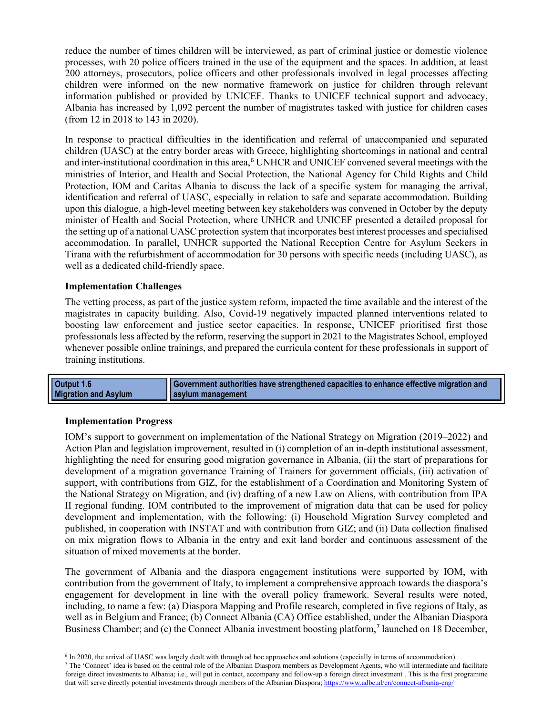reduce the number of times children will be interviewed, as part of criminal justice or domestic violence processes, with 20 police officers trained in the use of the equipment and the spaces. In addition, at least 200 attorneys, prosecutors, police officers and other professionals involved in legal processes affecting children were informed on the new normative framework on justice for children through relevant information published or provided by UNICEF. Thanks to UNICEF technical support and advocacy, Albania has increased by 1,092 percent the number of magistrates tasked with justice for children cases (from 12 in 2018 to 143 in 2020).

In response to practical difficulties in the identification and referral of unaccompanied and separated children (UASC) at the entry border areas with Greece, highlighting shortcomings in national and central and inter-institutional coordination in this area, [6](#page-3-0) UNHCR and UNICEF convened several meetings with the ministries of Interior, and Health and Social Protection, the National Agency for Child Rights and Child Protection, IOM and Caritas Albania to discuss the lack of a specific system for managing the arrival, identification and referral of UASC, especially in relation to safe and separate accommodation. Building upon this dialogue, a high-level meeting between key stakeholders was convened in October by the deputy minister of Health and Social Protection, where UNHCR and UNICEF presented a detailed proposal for the setting up of a national UASC protection system that incorporates best interest processes and specialised accommodation. In parallel, UNHCR supported the National Reception Centre for Asylum Seekers in Tirana with the refurbishment of accommodation for 30 persons with specific needs (including UASC), as well as a dedicated child-friendly space.

# **Implementation Challenges**

The vetting process, as part of the justice system reform, impacted the time available and the interest of the magistrates in capacity building. Also, Covid-19 negatively impacted planned interventions related to boosting law enforcement and justice sector capacities. In response, UNICEF prioritised first those professionals less affected by the reform, reserving the support in 2021 to the Magistrates School, employed whenever possible online trainings, and prepared the curricula content for these professionals in support of training institutions.

| Output 1.6                  | Government authorities have strengthened capacities to enhance effective migration and |
|-----------------------------|----------------------------------------------------------------------------------------|
| <b>Migration and Asylum</b> | asylum management                                                                      |

### **Implementation Progress**

IOM's support to government on implementation of the National Strategy on Migration (2019–2022) and Action Plan and legislation improvement, resulted in (i) completion of an in-depth institutional assessment, highlighting the need for ensuring good migration governance in Albania, (ii) the start of preparations for development of a migration governance Training of Trainers for government officials, (iii) activation of support, with contributions from GIZ, for the establishment of a Coordination and Monitoring System of the National Strategy on Migration, and (iv) drafting of a new Law on Aliens, with contribution from IPA II regional funding. IOM contributed to the improvement of migration data that can be used for policy development and implementation, with the following: (i) Household Migration Survey completed and published, in cooperation with INSTAT and with contribution from GIZ; and (ii) Data collection finalised on mix migration flows to Albania in the entry and exit land border and continuous assessment of the situation of mixed movements at the border.

The government of Albania and the diaspora engagement institutions were supported by IOM, with contribution from the government of Italy, to implement a comprehensive approach towards the diaspora's engagement for development in line with the overall policy framework. Several results were noted, including, to name a few: (a) Diaspora Mapping and Profile research, completed in five regions of Italy, as well as in Belgium and France; (b) Connect Albania (CA) Office established, under the Albanian Diaspora Business Chamber; and (c) the Connect Albania investment boosting platform, [7](#page-3-1) launched on 18 December,

<sup>6</sup> In 2020, the arrival of UASC was largely dealt with through ad hoc approaches and solutions (especially in terms of accommodation).

<span id="page-3-1"></span><span id="page-3-0"></span><sup>&</sup>lt;sup>7</sup> The 'Connect' idea is based on the central role of the Albanian Diaspora members as Development Agents, who will intermediate and facilitate foreign direct investments to Albania; i.e., will put in contact, accompany and follow-up a foreign direct investment . This is the first programme that will serve directly potential investments through members of the Albanian Diaspora; <https://www.adbc.al/en/connect-albania-eng/>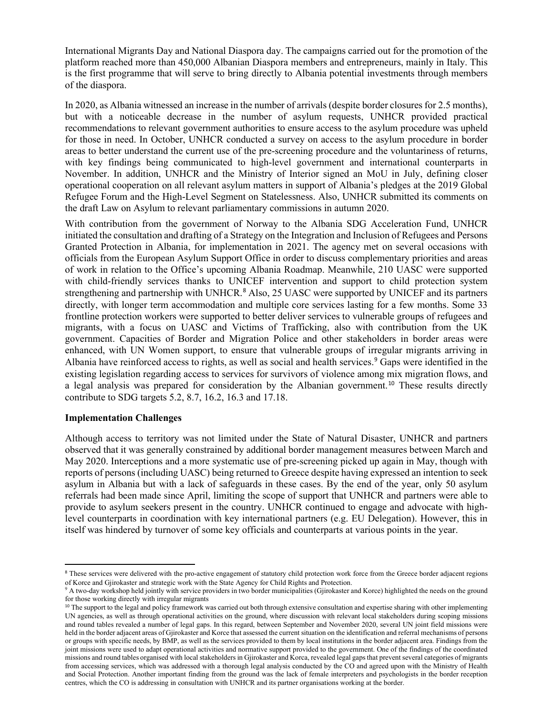International Migrants Day and National Diaspora day. The campaigns carried out for the promotion of the platform reached more than 450,000 Albanian Diaspora members and entrepreneurs, mainly in Italy. This is the first programme that will serve to bring directly to Albania potential investments through members of the diaspora.

In 2020, as Albania witnessed an increase in the number of arrivals (despite border closures for 2.5 months), but with a noticeable decrease in the number of asylum requests, UNHCR provided practical recommendations to relevant government authorities to ensure access to the asylum procedure was upheld for those in need. In October, UNHCR conducted a survey on access to the asylum procedure in border areas to better understand the current use of the pre-screening procedure and the voluntariness of returns, with key findings being communicated to high-level government and international counterparts in November. In addition, UNHCR and the Ministry of Interior signed an MoU in July, defining closer operational cooperation on all relevant asylum matters in support of Albania's pledges at the 2019 Global Refugee Forum and the High-Level Segment on Statelessness. Also, UNHCR submitted its comments on the draft Law on Asylum to relevant parliamentary commissions in autumn 2020.

With contribution from the government of Norway to the Albania SDG Acceleration Fund, UNHCR initiated the consultation and drafting of a Strategy on the Integration and Inclusion of Refugees and Persons Granted Protection in Albania, for implementation in 2021. The agency met on several occasions with officials from the European Asylum Support Office in order to discuss complementary priorities and areas of work in relation to the Office's upcoming Albania Roadmap. Meanwhile, 210 UASC were supported with child-friendly services thanks to UNICEF intervention and support to child protection system strengthening and partnership with UNHCR. [8](#page-4-0) Also, 25 UASC were supported by UNICEF and its partners directly, with longer term accommodation and multiple core services lasting for a few months. Some 33 frontline protection workers were supported to better deliver services to vulnerable groups of refugees and migrants, with a focus on UASC and Victims of Trafficking, also with contribution from the UK government. Capacities of Border and Migration Police and other stakeholders in border areas were enhanced, with UN Women support, to ensure that vulnerable groups of irregular migrants arriving in Albania have reinforced access to rights, as well as social and health services. [9](#page-4-1) Gaps were identified in the existing legislation regarding access to services for survivors of violence among mix migration flows, and a legal analysis was prepared for consideration by the Albanian government. [10](#page-4-2) These results directly contribute to SDG targets 5.2, 8.7, 16.2, 16.3 and 17.18.

# **Implementation Challenges**

Although access to territory was not limited under the State of Natural Disaster, UNHCR and partners observed that it was generally constrained by additional border management measures between March and May 2020. Interceptions and a more systematic use of pre-screening picked up again in May, though with reports of persons (including UASC) being returned to Greece despite having expressed an intention to seek asylum in Albania but with a lack of safeguards in these cases. By the end of the year, only 50 asylum referrals had been made since April, limiting the scope of support that UNHCR and partners were able to provide to asylum seekers present in the country. UNHCR continued to engage and advocate with highlevel counterparts in coordination with key international partners (e.g. EU Delegation). However, this in itself was hindered by turnover of some key officials and counterparts at various points in the year.

<span id="page-4-0"></span><sup>&</sup>lt;sup>8</sup> These services were delivered with the pro-active engagement of statutory child protection work force from the Greece border adjacent regions of Korce and Gjirokaster and strategic work with the State Agency for Child

<span id="page-4-1"></span><sup>&</sup>lt;sup>9</sup> A two-day workshop held jointly with service providers in two border municipalities (Gjirokaster and Korce) highlighted the needs on the ground for those working directly with irregular migrants

<span id="page-4-2"></span><sup>&</sup>lt;sup>10</sup> The support to the legal and policy framework was carried out both through extensive consultation and expertise sharing with other implementing UN agencies, as well as through operational activities on the ground, where discussion with relevant local stakeholders during scoping missions and round tables revealed a number of legal gaps. In this regard, between September and November 2020, several UN joint field missions were held in the border adjacent areas of Gjirokaster and Korce that assessed the current situation on the identification and referral mechanisms of persons or groups with specific needs, by BMP, as well as the services provided to them by local institutions in the border adjacent area. Findings from the joint missions were used to adapt operational activities and normative support provided to the government. One of the findings of the coordinated missions and round tables organised with local stakeholders in Gjirokaster and Korca, revealed legal gaps that prevent several categories of migrants from accessing services, which was addressed with a thorough legal analysis conducted by the CO and agreed upon with the Ministry of Health and Social Protection. Another important finding from the ground was the lack of female interpreters and psychologists in the border reception centres, which the CO is addressing in consultation with UNHCR and its partner organisations working at the border.